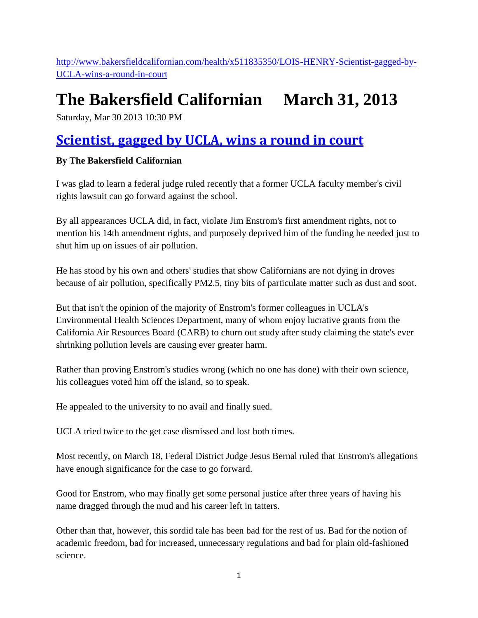[http://www.bakersfieldcalifornian.com/health/x511835350/LOIS-HENRY-Scientist-gagged-by-](http://www.bakersfieldcalifornian.com/health/x511835350/LOIS-HENRY-Scientist-gagged-by-UCLA-wins-a-round-in-court)[UCLA-wins-a-round-in-court](http://www.bakersfieldcalifornian.com/health/x511835350/LOIS-HENRY-Scientist-gagged-by-UCLA-wins-a-round-in-court)

## **The Bakersfield Californian March 31, 2013**

Saturday, Mar 30 2013 10:30 PM

## **[Scientist, gagged by UCLA, wins a round in court](http://www.bakersfieldcalifornian.com/health/x511835350/LOIS-HENRY-Scientist-gagged-by-UCLA-wins-a-round-in-court)**

## **By The Bakersfield Californian**

I was glad to learn a federal judge ruled recently that a former UCLA faculty member's civil rights lawsuit can go forward against the school.

By all appearances UCLA did, in fact, violate Jim Enstrom's first amendment rights, not to mention his 14th amendment rights, and purposely deprived him of the funding he needed just to shut him up on issues of air pollution.

He has stood by his own and others' studies that show Californians are not dying in droves because of air pollution, specifically PM2.5, tiny bits of particulate matter such as dust and soot.

But that isn't the opinion of the majority of Enstrom's former colleagues in UCLA's Environmental Health Sciences Department, many of whom enjoy lucrative grants from the California Air Resources Board (CARB) to churn out study after study claiming the state's ever shrinking pollution levels are causing ever greater harm.

Rather than proving Enstrom's studies wrong (which no one has done) with their own science, his colleagues voted him off the island, so to speak.

He appealed to the university to no avail and finally sued.

UCLA tried twice to the get case dismissed and lost both times.

Most recently, on March 18, Federal District Judge Jesus Bernal ruled that Enstrom's allegations have enough significance for the case to go forward.

Good for Enstrom, who may finally get some personal justice after three years of having his name dragged through the mud and his career left in tatters.

Other than that, however, this sordid tale has been bad for the rest of us. Bad for the notion of academic freedom, bad for increased, unnecessary regulations and bad for plain old-fashioned science.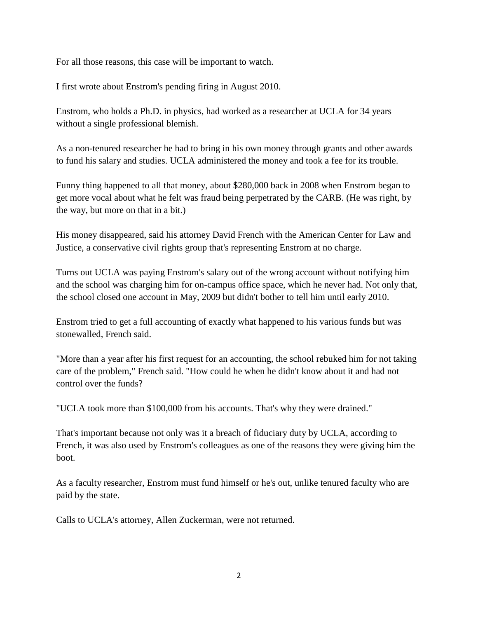For all those reasons, this case will be important to watch.

I first wrote about Enstrom's pending firing in August 2010.

Enstrom, who holds a Ph.D. in physics, had worked as a researcher at UCLA for 34 years without a single professional blemish.

As a non-tenured researcher he had to bring in his own money through grants and other awards to fund his salary and studies. UCLA administered the money and took a fee for its trouble.

Funny thing happened to all that money, about \$280,000 back in 2008 when Enstrom began to get more vocal about what he felt was fraud being perpetrated by the CARB. (He was right, by the way, but more on that in a bit.)

His money disappeared, said his attorney David French with the American Center for Law and Justice, a conservative civil rights group that's representing Enstrom at no charge.

Turns out UCLA was paying Enstrom's salary out of the wrong account without notifying him and the school was charging him for on-campus office space, which he never had. Not only that, the school closed one account in May, 2009 but didn't bother to tell him until early 2010.

Enstrom tried to get a full accounting of exactly what happened to his various funds but was stonewalled, French said.

"More than a year after his first request for an accounting, the school rebuked him for not taking care of the problem," French said. "How could he when he didn't know about it and had not control over the funds?

"UCLA took more than \$100,000 from his accounts. That's why they were drained."

That's important because not only was it a breach of fiduciary duty by UCLA, according to French, it was also used by Enstrom's colleagues as one of the reasons they were giving him the boot.

As a faculty researcher, Enstrom must fund himself or he's out, unlike tenured faculty who are paid by the state.

Calls to UCLA's attorney, Allen Zuckerman, were not returned.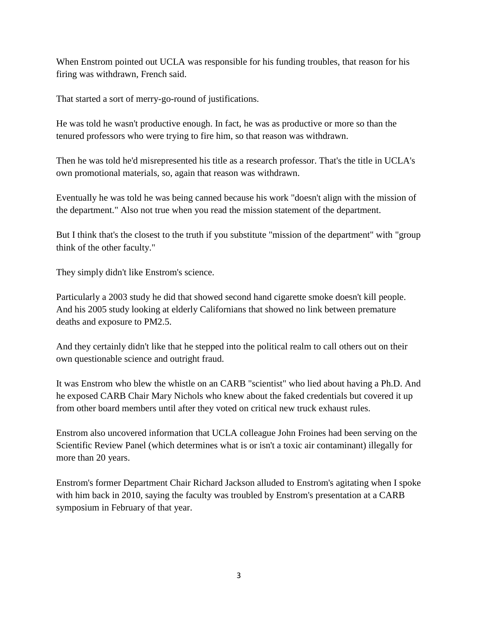When Enstrom pointed out UCLA was responsible for his funding troubles, that reason for his firing was withdrawn, French said.

That started a sort of merry-go-round of justifications.

He was told he wasn't productive enough. In fact, he was as productive or more so than the tenured professors who were trying to fire him, so that reason was withdrawn.

Then he was told he'd misrepresented his title as a research professor. That's the title in UCLA's own promotional materials, so, again that reason was withdrawn.

Eventually he was told he was being canned because his work "doesn't align with the mission of the department." Also not true when you read the mission statement of the department.

But I think that's the closest to the truth if you substitute "mission of the department" with "group think of the other faculty."

They simply didn't like Enstrom's science.

Particularly a 2003 study he did that showed second hand cigarette smoke doesn't kill people. And his 2005 study looking at elderly Californians that showed no link between premature deaths and exposure to PM2.5.

And they certainly didn't like that he stepped into the political realm to call others out on their own questionable science and outright fraud.

It was Enstrom who blew the whistle on an CARB "scientist" who lied about having a Ph.D. And he exposed CARB Chair Mary Nichols who knew about the faked credentials but covered it up from other board members until after they voted on critical new truck exhaust rules.

Enstrom also uncovered information that UCLA colleague John Froines had been serving on the Scientific Review Panel (which determines what is or isn't a toxic air contaminant) illegally for more than 20 years.

Enstrom's former Department Chair Richard Jackson alluded to Enstrom's agitating when I spoke with him back in 2010, saying the faculty was troubled by Enstrom's presentation at a CARB symposium in February of that year.